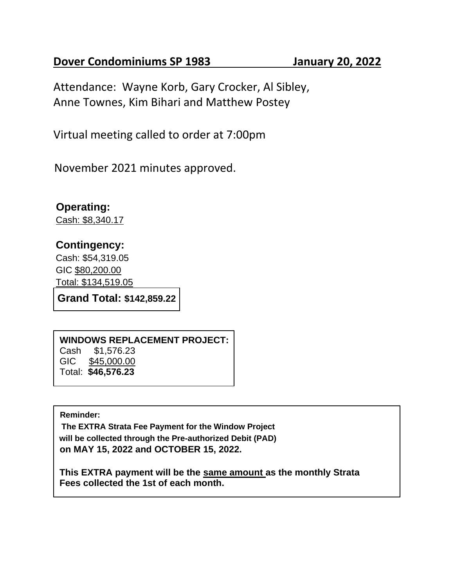## **Dover Condominiums SP 1983 January 20, 2022**

Attendance: Wayne Korb, Gary Crocker, Al Sibley, Anne Townes, Kim Bihari and Matthew Postey

Virtual meeting called to order at 7:00pm

November 2021 minutes approved.

**Operating:** Cash: \$8,340.17

## **Contingency:**

Cash: \$54,319.05 GIC \$80,200.00 Total: \$134,519.05

**Grand Total: \$142,859.22**

**WINDOWS REPLACEMENT PROJECT:**  Cash \$1,576.23 GIC \$45,000.00 Total: **\$46,576.23**

**Reminder:** 

**The EXTRA Strata Fee Payment for the Window Project will be collected through the Pre-authorized Debit (PAD) on MAY 15, 2022 and OCTOBER 15, 2022.**

**This EXTRA payment will be the same amount as the monthly Strata Fees collected the 1st of each month.**